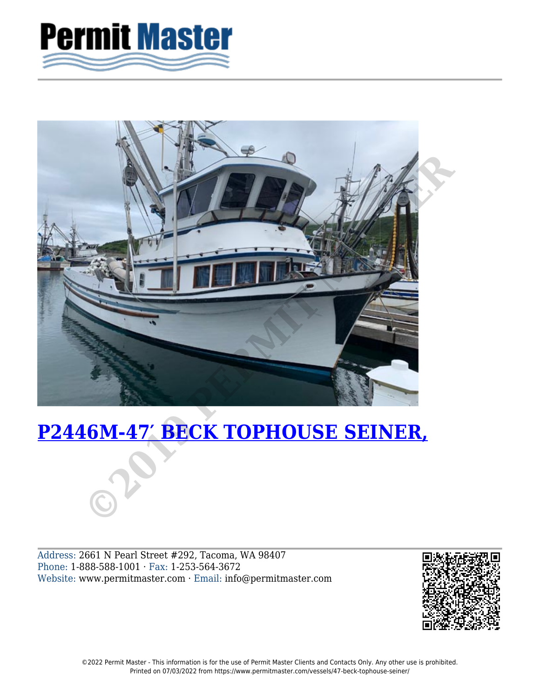



Address: 2661 N Pearl Street #292, Tacoma, WA 98407 Phone: 1-888-588-1001 · Fax: 1-253-564-3672 Website: www.permitmaster.com · Email: info@permitmaster.com